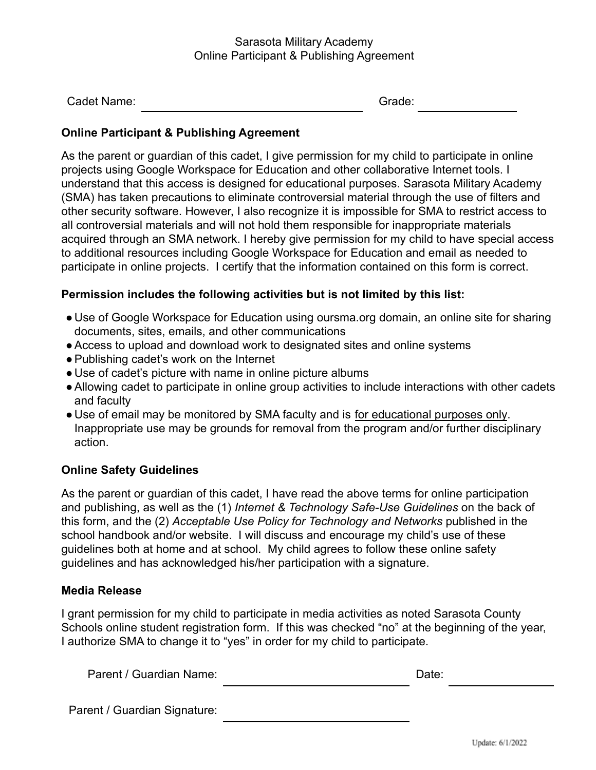#### Sarasota Military Academy Online Participant & Publishing Agreement

| Cadet Name: | Grade: |
|-------------|--------|
|             |        |

### **Online Participant & Publishing Agreement**

As the parent or guardian of this cadet, I give permission for my child to participate in online projects using Google Workspace for Education and other collaborative Internet tools. I understand that this access is designed for educational purposes. Sarasota Military Academy (SMA) has taken precautions to eliminate controversial material through the use of filters and other security software. However, I also recognize it is impossible for SMA to restrict access to all controversial materials and will not hold them responsible for inappropriate materials acquired through an SMA network. I hereby give permission for my child to have special access to additional resources including Google Workspace for Education and email as needed to participate in online projects. I certify that the information contained on this form is correct.

#### **Permission includes the following activities but is not limited by this list:**

- Use of Google Workspace for Education using oursma.org domain, an online site for sharing documents, sites, emails, and other communications
- ●Access to upload and download work to designated sites and online systems
- ●Publishing cadet's work on the Internet
- Use of cadet's picture with name in online picture albums
- ●Allowing cadet to participate in online group activities to include interactions with other cadets and faculty
- Use of email may be monitored by SMA faculty and is for educational purposes only. Inappropriate use may be grounds for removal from the program and/or further disciplinary action.

#### **Online Safety Guidelines**

As the parent or guardian of this cadet, I have read the above terms for online participation and publishing, as well as the (1) *Internet & Technology Safe-Use Guidelines* on the back of this form, and the (2) *Acceptable Use Policy for Technology and Networks* published in the school handbook and/or website. I will discuss and encourage my child's use of these guidelines both at home and at school. My child agrees to follow these online safety guidelines and has acknowledged his/her participation with a signature.

#### **Media Release**

I grant permission for my child to participate in media activities as noted Sarasota County Schools online student registration form. If this was checked "no" at the beginning of the year, I authorize SMA to change it to "yes" in order for my child to participate.

| Parent / Guardian Name: | Date: |  |
|-------------------------|-------|--|
|                         |       |  |

Parent / Guardian Signature: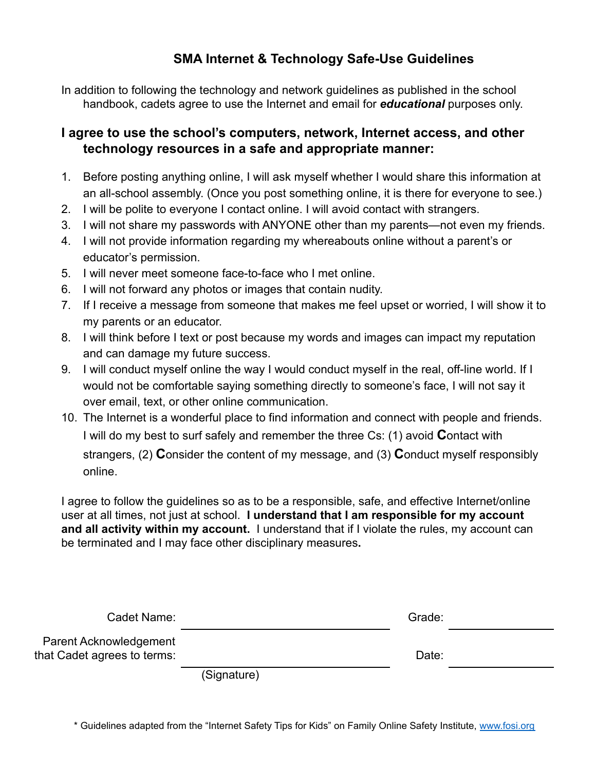## **SMA Internet & Technology Safe-Use Guidelines**

In addition to following the technology and network guidelines as published in the school handbook, cadets agree to use the Internet and email for *educational* purposes only.

### **I agree to use the school's computers, network, Internet access, and other technology resources in a safe and appropriate manner:**

- 1. Before posting anything online, I will ask myself whether I would share this information at an all-school assembly. (Once you post something online, it is there for everyone to see.)
- 2. I will be polite to everyone I contact online. I will avoid contact with strangers.
- 3. I will not share my passwords with ANYONE other than my parents—not even my friends.
- 4. I will not provide information regarding my whereabouts online without a parent's or educator's permission.
- 5. I will never meet someone face-to-face who I met online.
- 6. I will not forward any photos or images that contain nudity.
- 7. If I receive a message from someone that makes me feel upset or worried, I will show it to my parents or an educator.
- 8. I will think before I text or post because my words and images can impact my reputation and can damage my future success.
- 9. I will conduct myself online the way I would conduct myself in the real, off-line world. If I would not be comfortable saying something directly to someone's face, I will not say it over email, text, or other online communication.
- 10. The Internet is a wonderful place to find information and connect with people and friends. I will do my best to surf safely and remember the three Cs: (1) avoid **C**ontact with strangers, (2) **C**onsider the content of my message, and (3) **C**onduct myself responsibly online.

I agree to follow the guidelines so as to be a responsible, safe, and effective Internet/online user at all times, not just at school. **I understand that I am responsible for my account and all activity within my account.** I understand that if I violate the rules, my account can be terminated and I may face other disciplinary measures**.**

| Cadet Name:                                                  |             | Grade: |  |
|--------------------------------------------------------------|-------------|--------|--|
| <b>Parent Acknowledgement</b><br>that Cadet agrees to terms: |             | Date:  |  |
|                                                              | (Cianoth(n) |        |  |

(Signature)

\* Guidelines adapted from the "Internet Safety Tips for Kids" on Family Online Safety Institute, [www.fosi.org](http://www.fosi.org)